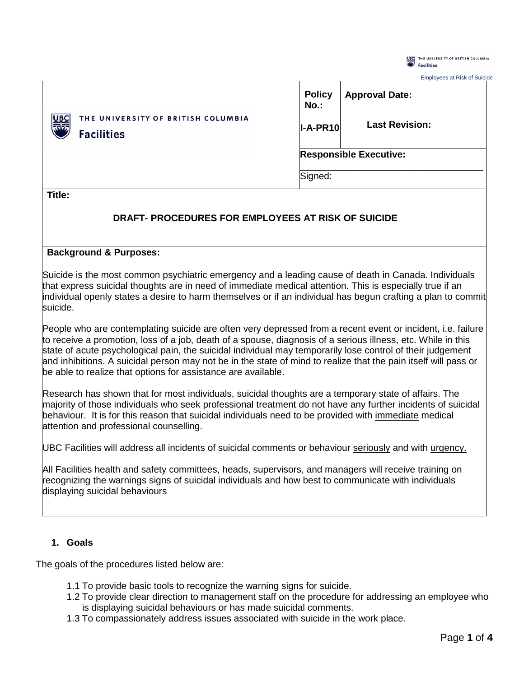

| <b>Employees at Risk of Suicide</b> |  |
|-------------------------------------|--|
|-------------------------------------|--|

|                                                                                 | <b>Policy</b><br>$No.$ :      | <b>Approval Date:</b> |
|---------------------------------------------------------------------------------|-------------------------------|-----------------------|
| <b>ARGE</b><br>RIVER<br>THE UNIVERSITY OF BRITISH COLUMBIA<br><b>Facilities</b> | $I-A-PR10$                    | <b>Last Revision:</b> |
|                                                                                 | <b>Responsible Executive:</b> |                       |
|                                                                                 | Signed:                       |                       |

**Title:**

# **DRAFT- PROCEDURES FOR EMPLOYEES AT RISK OF SUICIDE**

#### **Background & Purposes:**

Suicide is the most common psychiatric emergency and a leading cause of death in Canada. Individuals that express suicidal thoughts are in need of immediate medical attention. This is especially true if an individual openly states a desire to harm themselves or if an individual has begun crafting a plan to commit suicide.

People who are contemplating suicide are often very depressed from a recent event or incident, i.e. failure to receive a promotion, loss of a job, death of a spouse, diagnosis of a serious illness, etc. While in this state of acute psychological pain, the suicidal individual may temporarily lose control of their judgement and inhibitions. A suicidal person may not be in the state of mind to realize that the pain itself will pass or be able to realize that options for assistance are available.

Research has shown that for most individuals, suicidal thoughts are a temporary state of affairs. The majority of those individuals who seek professional treatment do not have any further incidents of suicidal behaviour. It is for this reason that suicidal individuals need to be provided with immediate medical attention and professional counselling.

UBC Facilities will address all incidents of suicidal comments or behaviour seriously and with urgency.

All Facilities health and safety committees, heads, supervisors, and managers will receive training on recognizing the warnings signs of suicidal individuals and how best to communicate with individuals displaying suicidal behaviours

### **1. Goals**

The goals of the procedures listed below are:

- 1.1 To provide basic tools to recognize the warning signs for suicide.
- 1.2 To provide clear direction to management staff on the procedure for addressing an employee who is displaying suicidal behaviours or has made suicidal comments.
- 1.3 To compassionately address issues associated with suicide in the work place.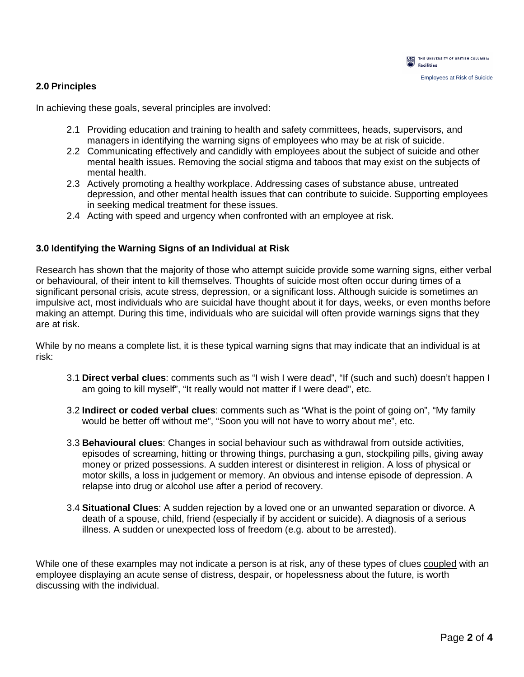

## **2.0 Principles**

In achieving these goals, several principles are involved:

- 2.1 Providing education and training to health and safety committees, heads, supervisors, and managers in identifying the warning signs of employees who may be at risk of suicide.
- 2.2 Communicating effectively and candidly with employees about the subject of suicide and other mental health issues. Removing the social stigma and taboos that may exist on the subjects of mental health.
- 2.3 Actively promoting a healthy workplace. Addressing cases of substance abuse, untreated depression, and other mental health issues that can contribute to suicide. Supporting employees in seeking medical treatment for these issues.
- 2.4 Acting with speed and urgency when confronted with an employee at risk.

#### **3.0 Identifying the Warning Signs of an Individual at Risk**

Research has shown that the majority of those who attempt suicide provide some warning signs, either verbal or behavioural, of their intent to kill themselves. Thoughts of suicide most often occur during times of a significant personal crisis, acute stress, depression, or a significant loss. Although suicide is sometimes an impulsive act, most individuals who are suicidal have thought about it for days, weeks, or even months before making an attempt. During this time, individuals who are suicidal will often provide warnings signs that they are at risk.

While by no means a complete list, it is these typical warning signs that may indicate that an individual is at risk:

- 3.1 **Direct verbal clues**: comments such as "I wish I were dead", "If (such and such) doesn't happen I am going to kill myself", "It really would not matter if I were dead", etc.
- 3.2 **Indirect or coded verbal clues**: comments such as "What is the point of going on", "My family would be better off without me", "Soon you will not have to worry about me", etc.
- 3.3 **Behavioural clues**: Changes in social behaviour such as withdrawal from outside activities, episodes of screaming, hitting or throwing things, purchasing a gun, stockpiling pills, giving away money or prized possessions. A sudden interest or disinterest in religion. A loss of physical or motor skills, a loss in judgement or memory. An obvious and intense episode of depression. A relapse into drug or alcohol use after a period of recovery.
- 3.4 **Situational Clues**: A sudden rejection by a loved one or an unwanted separation or divorce. A death of a spouse, child, friend (especially if by accident or suicide). A diagnosis of a serious illness. A sudden or unexpected loss of freedom (e.g. about to be arrested).

While one of these examples may not indicate a person is at risk, any of these types of clues coupled with an employee displaying an acute sense of distress, despair, or hopelessness about the future, is worth discussing with the individual.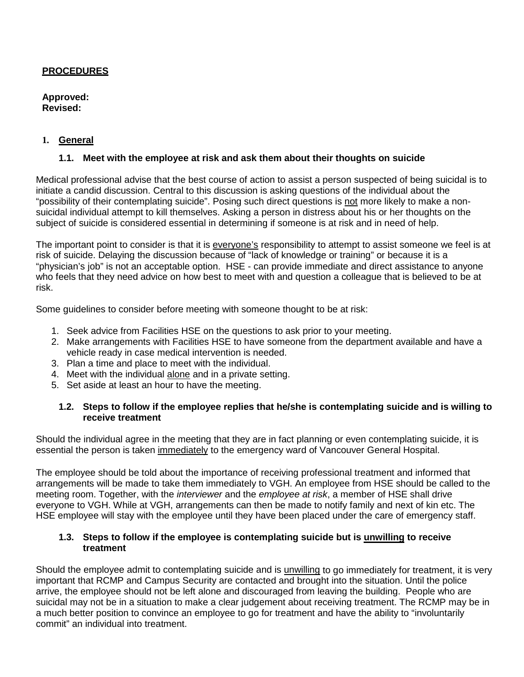## **PROCEDURES**

**Approved: Revised:** 

## **1. General**

## **1.1. Meet with the employee at risk and ask them about their thoughts on suicide**

Medical professional advise that the best course of action to assist a person suspected of being suicidal is to initiate a candid discussion. Central to this discussion is asking questions of the individual about the "possibility of their contemplating suicide". Posing such direct questions is not more likely to make a nonsuicidal individual attempt to kill themselves. Asking a person in distress about his or her thoughts on the subject of suicide is considered essential in determining if someone is at risk and in need of help.

The important point to consider is that it is everyone's responsibility to attempt to assist someone we feel is at risk of suicide. Delaying the discussion because of "lack of knowledge or training" or because it is a "physician's job" is not an acceptable option. HSE - can provide immediate and direct assistance to anyone who feels that they need advice on how best to meet with and question a colleague that is believed to be at risk.

Some guidelines to consider before meeting with someone thought to be at risk:

- 1. Seek advice from Facilities HSE on the questions to ask prior to your meeting.
- 2. Make arrangements with Facilities HSE to have someone from the department available and have a vehicle ready in case medical intervention is needed.
- 3. Plan a time and place to meet with the individual.
- 4. Meet with the individual alone and in a private setting.
- 5. Set aside at least an hour to have the meeting.

### **1.2. Steps to follow if the employee replies that he/she is contemplating suicide and is willing to receive treatment**

Should the individual agree in the meeting that they are in fact planning or even contemplating suicide, it is essential the person is taken immediately to the emergency ward of Vancouver General Hospital.

The employee should be told about the importance of receiving professional treatment and informed that arrangements will be made to take them immediately to VGH. An employee from HSE should be called to the meeting room. Together, with the *interviewer* and the *employee at risk*, a member of HSE shall drive everyone to VGH. While at VGH, arrangements can then be made to notify family and next of kin etc. The HSE employee will stay with the employee until they have been placed under the care of emergency staff.

#### **1.3. Steps to follow if the employee is contemplating suicide but is unwilling to receive treatment**

Should the employee admit to contemplating suicide and is unwilling to go immediately for treatment, it is very important that RCMP and Campus Security are contacted and brought into the situation. Until the police arrive, the employee should not be left alone and discouraged from leaving the building. People who are suicidal may not be in a situation to make a clear judgement about receiving treatment. The RCMP may be in a much better position to convince an employee to go for treatment and have the ability to "involuntarily commit" an individual into treatment.